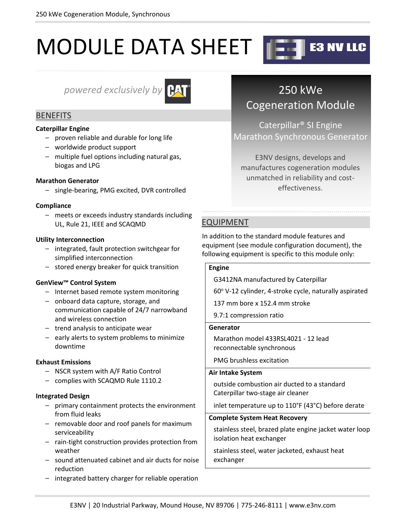# MODULE DATA SHEET FEE ES NV LLG

## *powered exclusively by* 250 kWe



#### BENEFITS

#### **Caterpillar Engine**

- proven reliable and durable for long life
- worldwide product support
- multiple fuel options including natural gas, biogas and LPG

#### **Marathon Generator**

– single-bearing, PMG excited, DVR controlled

#### **Compliance**

– meets or exceeds industry standards including UL, Rule 21, IEEE and SCAQMD

#### **Utility Interconnection**

- integrated, fault protection switchgear for simplified interconnection
- stored energy breaker for quick transition

#### **GenView™ Control System**

- Internet based remote system monitoring
- onboard data capture, storage, and communication capable of 24/7 narrowband and wireless connection
- trend analysis to anticipate wear
- early alerts to system problems to minimize downtime

#### **Exhaust Emissions**

- NSCR system with A/F Ratio Control
- complies with SCAQMD Rule 1110.2

#### **Integrated Design**

- primary containment protects the environment from fluid leaks
- removable door and roof panels for maximum serviceability
- rain-tight construction provides protection from weather
- sound attenuated cabinet and air ducts for noise reduction
- integrated battery charger for reliable operation

# Cogeneration Module

Caterpillar® SI Engine Marathon Synchronous Generator

E3NV designs, develops and manufactures cogeneration modules unmatched in reliability and costeffectiveness.

### EQUIPMENT

In addition to the standard module features and equipment (see module configuration document), the following equipment is specific to this module only:

#### **Engine**

G3412NA manufactured by Caterpillar

60° V-12 cylinder, 4-stroke cycle, naturally aspirated

137 mm bore x 152.4 mm stroke

9.7:1 compression ratio

#### **Generator**

Marathon model 433RSL4021 - 12 lead reconnectable synchronous

PMG brushless excitation

#### **Air Intake System**

outside combustion air ducted to a standard Caterpillar two-stage air cleaner

inlet temperature up to 110°F (43°C) before derate

#### **Complete System Heat Recovery**

stainless steel, brazed plate engine jacket water loop isolation heat exchanger

stainless steel, water jacketed, exhaust heat exchanger